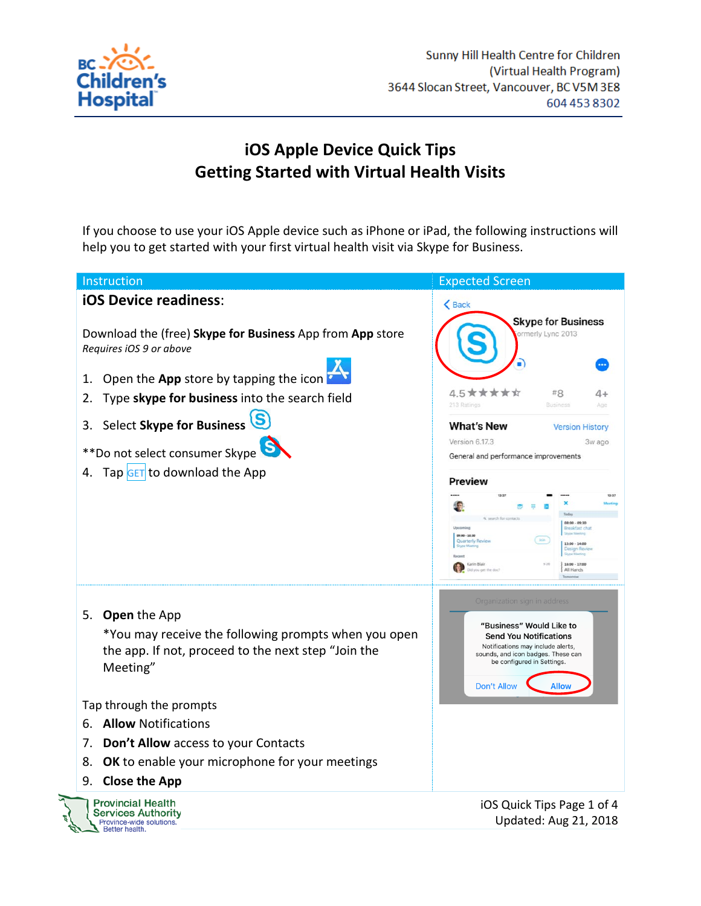

## **iOS Apple Device Quick Tips Getting Started with Virtual Health Visits**

If you choose to use your iOS Apple device such as iPhone or iPad, the following instructions will help you to get started with your first virtual health visit via Skype for Business.

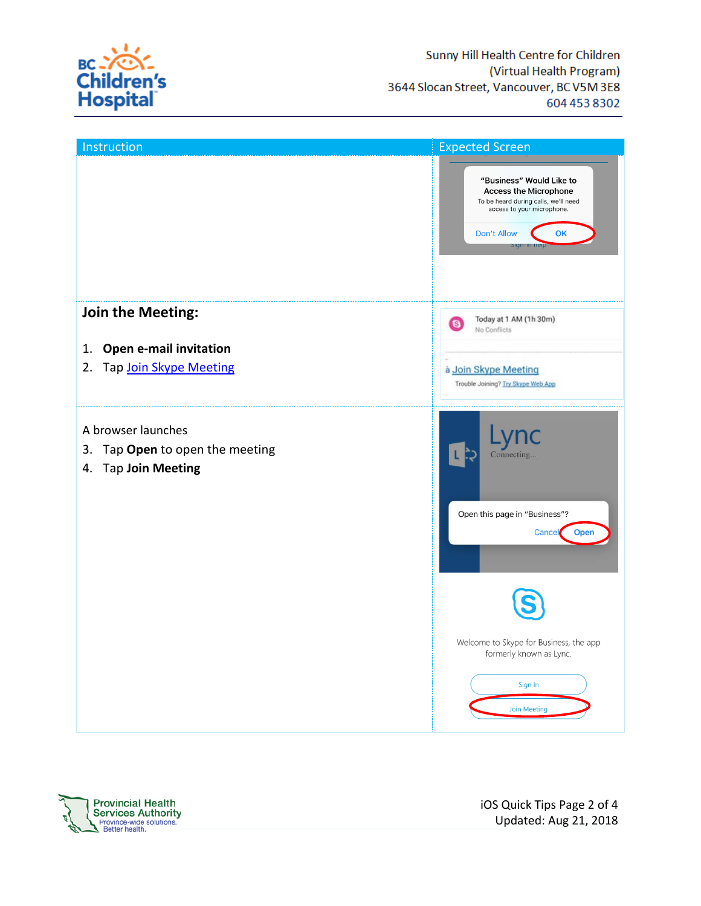

| Instruction                                                         | <b>Expected Screen</b>                                                                                                                                                     |
|---------------------------------------------------------------------|----------------------------------------------------------------------------------------------------------------------------------------------------------------------------|
|                                                                     | "Business" Would Like to<br><b>Access the Microphone</b><br>To be heard during calls, we'll need<br>access to your microphone.<br><b>Don't Allow</b><br>OK<br>Sign-in neip |
| Join the Meeting:                                                   | Today at 1 AM (1h 30m)<br>$\bullet$<br>No Conflicts                                                                                                                        |
| Open e-mail invitation<br>1.                                        |                                                                                                                                                                            |
| Tap Join Skype Meeting<br>2.                                        | à Join Skype Meeting<br>Trouble Joining? Try Skype Web App                                                                                                                 |
| A browser launches                                                  |                                                                                                                                                                            |
| Tap Open to open the meeting<br>3.<br><b>Tap Join Meeting</b><br>4. | Connecting<br>Open this page in "Business"?<br>Open<br>Cancel                                                                                                              |
|                                                                     | Welcome to Skype for Business, the app<br>formerly known as Lync.<br>Sign In<br><b>Join Meeting</b>                                                                        |

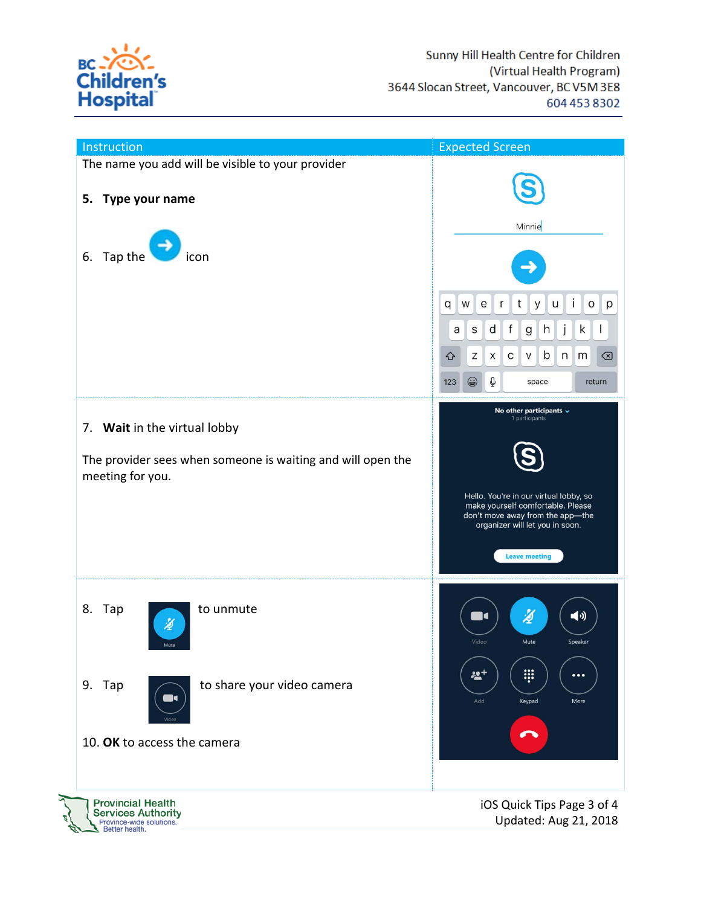

| Instruction                                                                                                     | <b>Expected Screen</b>                                                                                                                                                                                                                                                 |
|-----------------------------------------------------------------------------------------------------------------|------------------------------------------------------------------------------------------------------------------------------------------------------------------------------------------------------------------------------------------------------------------------|
| The name you add will be visible to your provider<br>5.<br>Type your name<br>6.<br>Tap the<br>icon              | Minnie<br>Ť<br>t<br>W<br>${\rm e}$<br>r<br>$\mathsf{u}$<br>$\mathsf{o}$<br>q<br>y<br>p<br>j<br>$d \mid f$<br>h<br>k<br>$\perp$<br>a<br>S<br>g<br>b<br>n<br>Ζ<br>X<br>С<br>V<br>m<br>⇧<br> ⊗<br>return                                                                  |
| 7. Wait in the virtual lobby<br>The provider sees when someone is waiting and will open the<br>meeting for you. | $\mathbb Q$<br>$\odot$<br>123<br>space<br>No other participants $\sim$<br>1 participants<br>Hello. You're in our virtual lobby, so<br>make yourself comfortable. Please<br>don't move away from the app-the<br>organizer will let you in soon.<br><b>Leave meeting</b> |
| 8. Tap<br>to unmute<br>⊉<br>Mute<br>to share your video camera<br>9. Tap                                        | 図<br>$\blacktriangleleft$ (i)<br>$\blacksquare$<br>Video<br>Mute<br>Speaker<br>W<br>쓰+<br>$\cdots$<br>Add<br>Keypad<br>More                                                                                                                                            |
| 10. OK to access the camera                                                                                     |                                                                                                                                                                                                                                                                        |
| <b>Provincial Health</b><br><b>Services Authority</b><br>Province-wide solutions.<br>Better health.             | iOS Quick Tips Page 3 of 4<br>Updated: Aug 21, 2018                                                                                                                                                                                                                    |